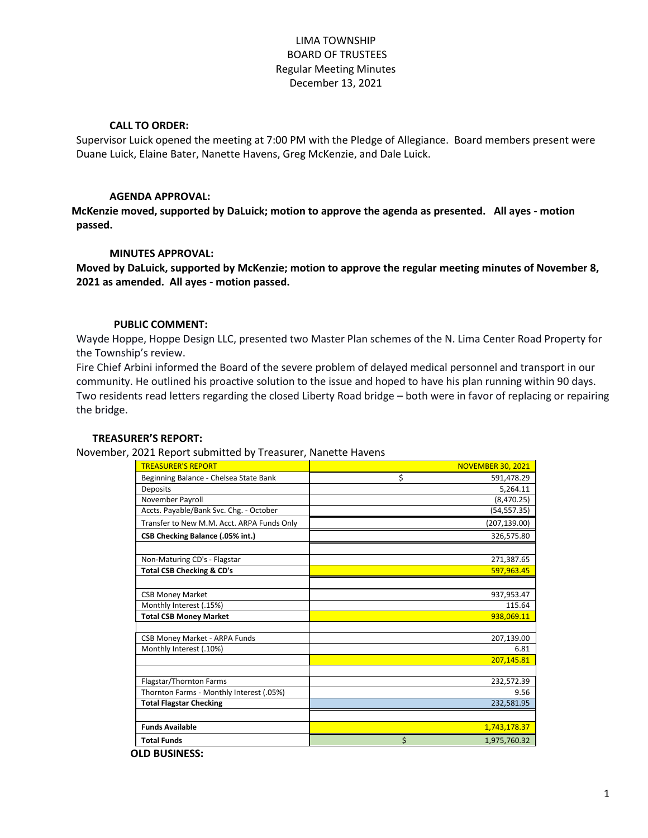# LIMA TOWNSHIP BOARD OF TRUSTEES Regular Meeting Minutes December 13, 2021

## **CALL TO ORDER:**

Supervisor Luick opened the meeting at 7:00 PM with the Pledge of Allegiance. Board members present were Duane Luick, Elaine Bater, Nanette Havens, Greg McKenzie, and Dale Luick.

## **AGENDA APPROVAL:**

**McKenzie moved, supported by DaLuick; motion to approve the agenda as presented. All ayes - motion passed.**

## **MINUTES APPROVAL:**

**Moved by DaLuick, supported by McKenzie; motion to approve the regular meeting minutes of November 8, 2021 as amended. All ayes - motion passed.**

## **PUBLIC COMMENT:**

Wayde Hoppe, Hoppe Design LLC, presented two Master Plan schemes of the N. Lima Center Road Property for the Township's review.

Fire Chief Arbini informed the Board of the severe problem of delayed medical personnel and transport in our community. He outlined his proactive solution to the issue and hoped to have his plan running within 90 days. Two residents read letters regarding the closed Liberty Road bridge – both were in favor of replacing or repairing the bridge.

### **TREASURER'S REPORT:**

November, 2021 Report submitted by Treasurer, Nanette Havens

| <b>TREASURER'S REPORT</b>                  | <b>NOVEMBER 30, 2021</b> |
|--------------------------------------------|--------------------------|
| Beginning Balance - Chelsea State Bank     | \$<br>591,478.29         |
| <b>Deposits</b>                            | 5,264.11                 |
| November Payroll                           | (8,470.25)               |
| Accts. Payable/Bank Svc. Chg. - October    | (54, 557.35)             |
| Transfer to New M.M. Acct. ARPA Funds Only | (207, 139.00)            |
| CSB Checking Balance (.05% int.)           | 326,575.80               |
|                                            |                          |
| Non-Maturing CD's - Flagstar               | 271,387.65               |
| <b>Total CSB Checking &amp; CD's</b>       | 597,963.45               |
|                                            |                          |
| <b>CSB Money Market</b>                    | 937,953.47               |
| Monthly Interest (.15%)                    | 115.64                   |
| <b>Total CSB Money Market</b>              | 938,069.11               |
|                                            |                          |
| CSB Money Market - ARPA Funds              | 207,139.00               |
| Monthly Interest (.10%)                    | 6.81                     |
|                                            | 207,145.81               |
|                                            |                          |
| Flagstar/Thornton Farms                    | 232,572.39               |
| Thornton Farms - Monthly Interest (.05%)   | 9.56                     |
| <b>Total Flagstar Checking</b>             | 232,581.95               |
|                                            |                          |
| <b>Funds Available</b>                     | 1,743,178.37             |
| <b>Total Funds</b>                         | \$<br>1,975,760.32       |
|                                            |                          |

**OLD BUSINESS:**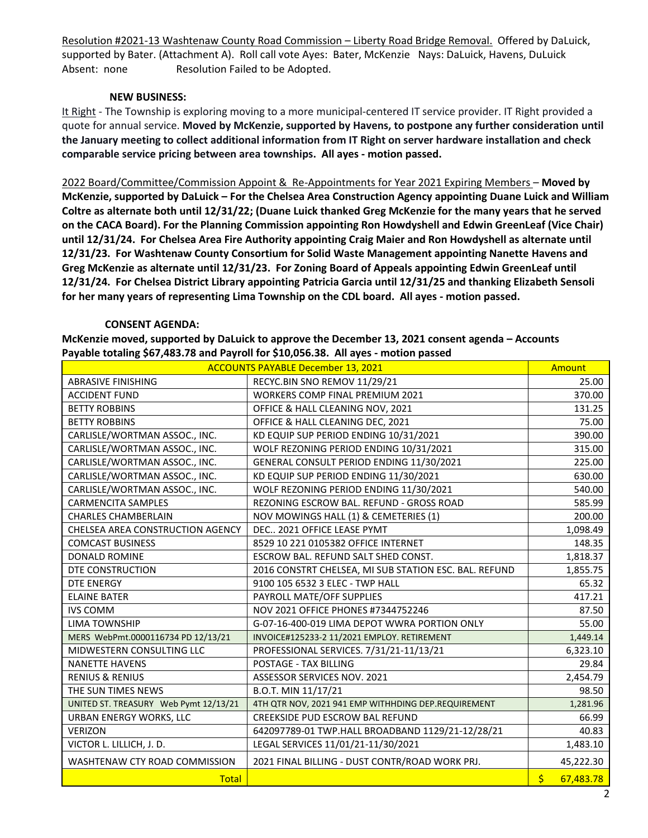Resolution #2021-13 Washtenaw County Road Commission – Liberty Road Bridge Removal. Offered by DaLuick, supported by Bater. (Attachment A). Roll call vote Ayes: Bater, McKenzie Nays: DaLuick, Havens, DuLuick Absent: none Resolution Failed to be Adopted.

## **NEW BUSINESS:**

It Right - The Township is exploring moving to a more municipal-centered IT service provider. IT Right provided a quote for annual service. **Moved by McKenzie, supported by Havens, to postpone any further consideration until the January meeting to collect additional information from IT Right on server hardware installation and check comparable service pricing between area townships. All ayes - motion passed.**

2022 Board/Committee/Commission Appoint & Re-Appointments for Year 2021 Expiring Members – **Moved by McKenzie, supported by DaLuick – For the Chelsea Area Construction Agency appointing Duane Luick and William Coltre as alternate both until 12/31/22; (Duane Luick thanked Greg McKenzie for the many years that he served on the CACA Board). For the Planning Commission appointing Ron Howdyshell and Edwin GreenLeaf (Vice Chair) until 12/31/24. For Chelsea Area Fire Authority appointing Craig Maier and Ron Howdyshell as alternate until 12/31/23. For Washtenaw County Consortium for Solid Waste Management appointing Nanette Havens and Greg McKenzie as alternate until 12/31/23. For Zoning Board of Appeals appointing Edwin GreenLeaf until 12/31/24. For Chelsea District Library appointing Patricia Garcia until 12/31/25 and thanking Elizabeth Sensoli for her many years of representing Lima Township on the CDL board. All ayes - motion passed.**

## **CONSENT AGENDA:**

**McKenzie moved, supported by DaLuick to approve the December 13, 2021 consent agenda – Accounts Payable totaling \$67,483.78 and Payroll for \$10,056.38. All ayes - motion passed**

| <b>ACCOUNTS PAYABLE December 13, 2021</b> |                                                       |                                      |  |
|-------------------------------------------|-------------------------------------------------------|--------------------------------------|--|
| <b>ABRASIVE FINISHING</b>                 | RECYC.BIN SNO REMOV 11/29/21                          | 25.00                                |  |
| <b>ACCIDENT FUND</b>                      | <b>WORKERS COMP FINAL PREMIUM 2021</b>                | 370.00                               |  |
| <b>BETTY ROBBINS</b>                      | OFFICE & HALL CLEANING NOV, 2021                      | 131.25                               |  |
| <b>BETTY ROBBINS</b>                      | OFFICE & HALL CLEANING DEC, 2021                      | 75.00                                |  |
| CARLISLE/WORTMAN ASSOC., INC.             | KD EQUIP SUP PERIOD ENDING 10/31/2021                 | 390.00                               |  |
| CARLISLE/WORTMAN ASSOC., INC.             | WOLF REZONING PERIOD ENDING 10/31/2021                | 315.00                               |  |
| CARLISLE/WORTMAN ASSOC., INC.             | GENERAL CONSULT PERIOD ENDING 11/30/2021              | 225.00                               |  |
| CARLISLE/WORTMAN ASSOC., INC.             | KD EQUIP SUP PERIOD ENDING 11/30/2021                 | 630.00                               |  |
| CARLISLE/WORTMAN ASSOC., INC.             | WOLF REZONING PERIOD ENDING 11/30/2021                |                                      |  |
| <b>CARMENCITA SAMPLES</b>                 | REZONING ESCROW BAL. REFUND - GROSS ROAD              | 585.99                               |  |
| <b>CHARLES CHAMBERLAIN</b>                | NOV MOWINGS HALL (1) & CEMETERIES (1)                 | 200.00                               |  |
| CHELSEA AREA CONSTRUCTION AGENCY          | DEC 2021 OFFICE LEASE PYMT                            | 1,098.49                             |  |
| <b>COMCAST BUSINESS</b>                   | 8529 10 221 0105382 OFFICE INTERNET                   | 148.35                               |  |
| <b>DONALD ROMINE</b>                      | ESCROW BAL. REFUND SALT SHED CONST.                   | 1,818.37                             |  |
| DTE CONSTRUCTION                          | 2016 CONSTRT CHELSEA, MI SUB STATION ESC. BAL. REFUND | 1,855.75                             |  |
| DTE ENERGY                                | 9100 105 6532 3 ELEC - TWP HALL                       | 65.32                                |  |
| <b>ELAINE BATER</b>                       | PAYROLL MATE/OFF SUPPLIES                             | 417.21                               |  |
| <b>IVS COMM</b>                           | NOV 2021 OFFICE PHONES #7344752246                    | 87.50                                |  |
| <b>LIMA TOWNSHIP</b>                      | G-07-16-400-019 LIMA DEPOT WWRA PORTION ONLY          | 55.00                                |  |
| MERS WebPmt.0000116734 PD 12/13/21        | INVOICE#125233-2 11/2021 EMPLOY. RETIREMENT           | 1,449.14                             |  |
| MIDWESTERN CONSULTING LLC                 | PROFESSIONAL SERVICES. 7/31/21-11/13/21               | 6,323.10                             |  |
| <b>NANETTE HAVENS</b>                     | POSTAGE - TAX BILLING                                 | 29.84                                |  |
| <b>RENIUS &amp; RENIUS</b>                | ASSESSOR SERVICES NOV. 2021                           | 2,454.79                             |  |
| THE SUN TIMES NEWS                        | B.O.T. MIN 11/17/21                                   | 98.50                                |  |
| UNITED ST. TREASURY Web Pymt 12/13/21     | 4TH QTR NOV, 2021 941 EMP WITHHDING DEP.REQUIREMENT   | 1,281.96                             |  |
| URBAN ENERGY WORKS, LLC                   | CREEKSIDE PUD ESCROW BAL REFUND                       | 66.99                                |  |
| <b>VERIZON</b>                            | 642097789-01 TWP.HALL BROADBAND 1129/21-12/28/21      | 40.83                                |  |
| VICTOR L. LILLICH, J. D.                  | LEGAL SERVICES 11/01/21-11/30/2021                    | 1,483.10                             |  |
| WASHTENAW CTY ROAD COMMISSION             | 2021 FINAL BILLING - DUST CONTR/ROAD WORK PRJ.        | 45,222.30                            |  |
| <b>Total</b>                              |                                                       | $\overline{\mathsf{S}}$<br>67,483.78 |  |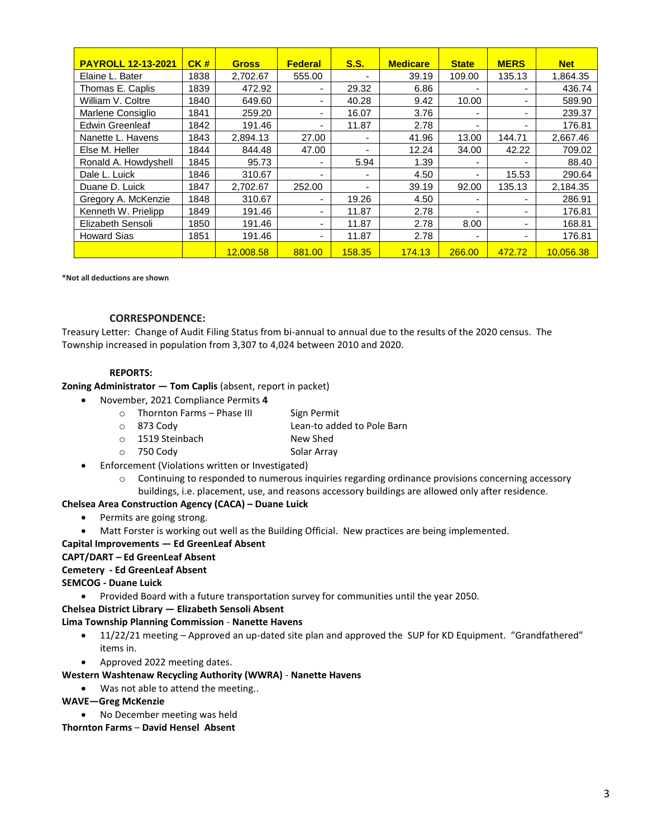| <b>PAYROLL 12-13-2021</b> | CK#  | <b>Gross</b> | <b>Federal</b>           | S.S.   | <b>Medicare</b> | <b>State</b>   | <b>MERS</b>              | <b>Net</b> |
|---------------------------|------|--------------|--------------------------|--------|-----------------|----------------|--------------------------|------------|
| Elaine L. Bater           | 1838 | 2,702.67     | 555.00                   |        | 39.19           | 109.00         | 135.13                   | 1,864.35   |
| Thomas E. Caplis          | 1839 | 472.92       | $\blacksquare$           | 29.32  | 6.86            |                | ۰                        | 436.74     |
| William V. Coltre         | 1840 | 649.60       | ۰                        | 40.28  | 9.42            | 10.00          | $\overline{\phantom{0}}$ | 589.90     |
| Marlene Consiglio         | 1841 | 259.20       | ۰                        | 16.07  | 3.76            |                | ۰                        | 239.37     |
| <b>Edwin Greenleaf</b>    | 1842 | 191.46       |                          | 11.87  | 2.78            |                | ۰                        | 176.81     |
| Nanette L. Havens         | 1843 | 2,894.13     | 27.00                    |        | 41.96           | 13.00          | 144.71                   | 2,667.46   |
| Else M. Heller            | 1844 | 844.48       | 47.00                    |        | 12.24           | 34.00          | 42.22                    | 709.02     |
| Ronald A. Howdyshell      | 1845 | 95.73        |                          | 5.94   | 1.39            |                |                          | 88.40      |
| Dale L. Luick             | 1846 | 310.67       | $\overline{\phantom{0}}$ |        | 4.50            | ۰              | 15.53                    | 290.64     |
| Duane D. Luick            | 1847 | 2,702.67     | 252.00                   |        | 39.19           | 92.00          | 135.13                   | 2,184.35   |
| Gregory A. McKenzie       | 1848 | 310.67       | ۰                        | 19.26  | 4.50            |                | ۰                        | 286.91     |
| Kenneth W. Prielipp       | 1849 | 191.46       | $\blacksquare$           | 11.87  | 2.78            |                | ۰                        | 176.81     |
| Elizabeth Sensoli         | 1850 | 191.46       | ۰                        | 11.87  | 2.78            | 8.00           | ۰                        | 168.81     |
| <b>Howard Sias</b>        | 1851 | 191.46       | ۰                        | 11.87  | 2.78            | $\blacksquare$ | ۰                        | 176.81     |
|                           |      | 12.008.58    | 881.00                   | 158.35 | 174.13          | 266.00         | 472.72                   | 10.056.38  |

**\*Not all deductions are shown**

#### **CORRESPONDENCE:**

Treasury Letter: Change of Audit Filing Status from bi-annual to annual due to the results of the 2020 census. The Township increased in population from 3,307 to 4,024 between 2010 and 2020.

#### **REPORTS:**

**Zoning Administrator — Tom Caplis** (absent, report in packet)

- November, 2021 Compliance Permits **4**
	- o Thornton Farms Phase III Sign Permit
	- o 873 Cody Lean-to added to Pole Barn
	- o 1519 Steinbach New Shed
	- o 750 Cody Solar Array
- Enforcement (Violations written or Investigated)
	- $\circ$  Continuing to responded to numerous inquiries regarding ordinance provisions concerning accessory buildings, i.e. placement, use, and reasons accessory buildings are allowed only after residence.

# **Chelsea Area Construction Agency (CACA) – Duane Luick**

- Permits are going strong.
- Matt Forster is working out well as the Building Official. New practices are being implemented.

#### **Capital Improvements — Ed GreenLeaf Absent**

#### **CAPT/DART – Ed GreenLeaf Absent**

#### **Cemetery - Ed GreenLeaf Absent**

### **SEMCOG - Duane Luick**

Provided Board with a future transportation survey for communities until the year 2050.

### **Chelsea District Library — Elizabeth Sensoli Absent**

### **Lima Township Planning Commission** - **Nanette Havens**

- 11/22/21 meeting Approved an up-dated site plan and approved the SUP for KD Equipment. "Grandfathered" items in.
- Approved 2022 meeting dates.

## **Western Washtenaw Recycling Authority (WWRA)** - **Nanette Havens**

• Was not able to attend the meeting..

## **WAVE—Greg McKenzie**

No December meeting was held

## **Thornton Farms** – **David Hensel Absent**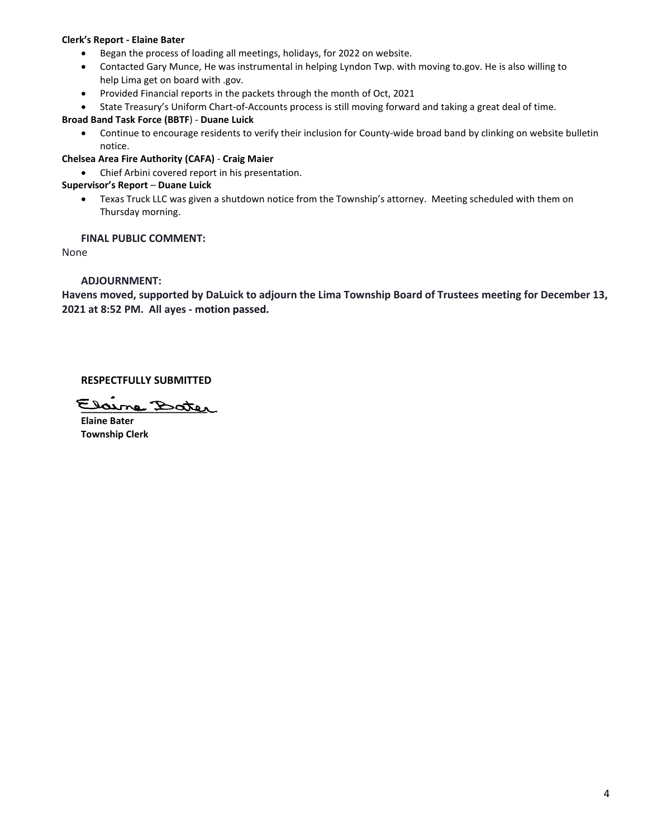### **Clerk's Report - Elaine Bater**

- Began the process of loading all meetings, holidays, for 2022 on website.
- Contacted Gary Munce, He was instrumental in helping Lyndon Twp. with moving to.gov. He is also willing to help Lima get on board with .gov.
- Provided Financial reports in the packets through the month of Oct, 2021
- State Treasury's Uniform Chart-of-Accounts process is still moving forward and taking a great deal of time.

### **Broad Band Task Force (BBTF**) - **Duane Luick**

 Continue to encourage residents to verify their inclusion for County-wide broad band by clinking on website bulletin notice.

### **Chelsea Area Fire Authority (CAFA)** - **Craig Maier**

Chief Arbini covered report in his presentation.

## **Supervisor's Report** – **Duane Luick**

 Texas Truck LLC was given a shutdown notice from the Township's attorney. Meeting scheduled with them on Thursday morning.

## **FINAL PUBLIC COMMENT:**

None

## **ADJOURNMENT:**

**Havens moved, supported by DaLuick to adjourn the Lima Township Board of Trustees meeting for December 13, 2021 at 8:52 PM. All ayes - motion passed.**

## **RESPECTFULLY SUBMITTED**

**\_\_\_\_\_\_\_\_\_\_\_\_\_\_\_\_\_\_\_\_\_\_\_\_**

**Elaine Bater Township Clerk**